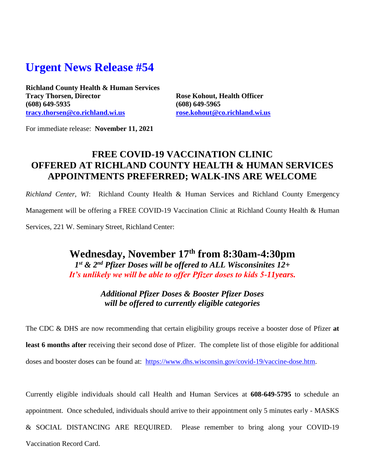## **Urgent News Release #54**

**Richland County Health & Human Services Tracy Thorsen, Director Rose Kohout, Health Officer (608) 649-5935 (608) 649-5965 [tracy.thorsen@co.richland.wi.us](mailto:tracy.thorsen@co.richland.wi.us) [rose.kohout@co.richland.wi.us](mailto:rose.kohout@co.richland.wi.us)**

For immediate release: **November 11, 2021**

## **FREE COVID-19 VACCINATION CLINIC OFFERED AT RICHLAND COUNTY HEALTH & HUMAN SERVICES APPOINTMENTS PREFERRED; WALK-INS ARE WELCOME**

*Richland Center, WI*: Richland County Health & Human Services and Richland County Emergency

Management will be offering a FREE COVID-19 Vaccination Clinic at Richland County Health & Human

Services, 221 W. Seminary Street, Richland Center:

**Wednesday, November 17 th from 8:30am-4:30pm** *1 st & 2nd Pfizer Doses will be offered to ALL Wisconsinites 12+ It's unlikely we will be able to offer Pfizer doses to kids 5-11years.*

> *Additional Pfizer Doses & Booster Pfizer Doses will be offered to currently eligible categories*

The CDC & DHS are now recommending that certain eligibility groups receive a booster dose of Pfizer **at least 6 months after** receiving their second dose of Pfizer. The complete list of those eligible for additional doses and booster doses can be found at: [https://www.dhs.wisconsin.gov/covid-19/vaccine-dose.htm.](https://www.dhs.wisconsin.gov/covid-19/vaccine-dose.htm)

Currently eligible individuals should call Health and Human Services at **608-649-5795** to schedule an appointment. Once scheduled, individuals should arrive to their appointment only 5 minutes early - MASKS & SOCIAL DISTANCING ARE REQUIRED. Please remember to bring along your COVID-19 Vaccination Record Card.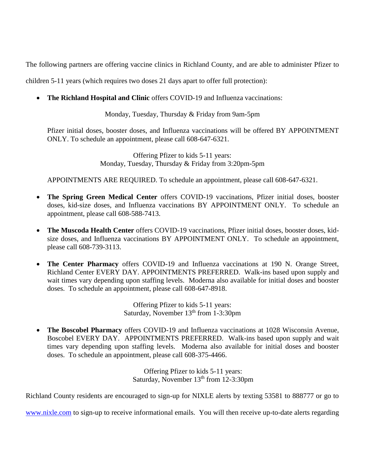The following partners are offering vaccine clinics in Richland County, and are able to administer Pfizer to

children 5-11 years (which requires two doses 21 days apart to offer full protection):

**The Richland Hospital and Clinic** offers COVID-19 and Influenza vaccinations:

Monday, Tuesday, Thursday & Friday from 9am-5pm

Pfizer initial doses, booster doses, and Influenza vaccinations will be offered BY APPOINTMENT ONLY. To schedule an appointment, please call 608-647-6321.

> Offering Pfizer to kids 5-11 years: Monday, Tuesday, Thursday & Friday from 3:20pm-5pm

APPOINTMENTS ARE REQUIRED. To schedule an appointment, please call 608-647-6321.

- **The Spring Green Medical Center** offers COVID-19 vaccinations, Pfizer initial doses, booster doses, kid-size doses, and Influenza vaccinations BY APPOINTMENT ONLY. To schedule an appointment, please call 608-588-7413.
- **The Muscoda Health Center** offers COVID-19 vaccinations, Pfizer initial doses, booster doses, kidsize doses, and Influenza vaccinations BY APPOINTMENT ONLY. To schedule an appointment, please call 608-739-3113.
- **The Center Pharmacy** offers COVID-19 and Influenza vaccinations at 190 N. Orange Street, Richland Center EVERY DAY. APPOINTMENTS PREFERRED. Walk-ins based upon supply and wait times vary depending upon staffing levels. Moderna also available for initial doses and booster doses. To schedule an appointment, please call 608-647-8918.

Offering Pfizer to kids 5-11 years: Saturday, November  $13<sup>th</sup>$  from 1-3:30pm

 **The Boscobel Pharmacy** offers COVID-19 and Influenza vaccinations at 1028 Wisconsin Avenue, Boscobel EVERY DAY. APPOINTMENTS PREFERRED. Walk-ins based upon supply and wait times vary depending upon staffing levels. Moderna also available for initial doses and booster doses. To schedule an appointment, please call 608-375-4466.

> Offering Pfizer to kids 5-11 years: Saturday, November 13<sup>th</sup> from 12-3:30pm

Richland County residents are encouraged to sign-up for NIXLE alerts by texting 53581 to 888777 or go to

[www.nixle.com](http://www.nixle.com/) to sign-up to receive informational emails. You will then receive up-to-date alerts regarding